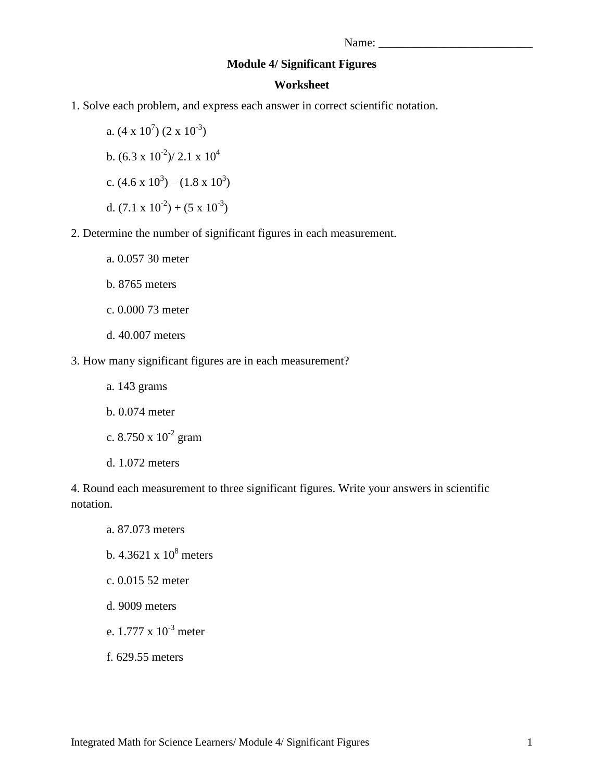## **Module 4/ Significant Figures**

## **Worksheet**

1. Solve each problem, and express each answer in correct scientific notation.

a.  $(4 \times 10^7) (2 \times 10^{-3})$ b.  $(6.3 \times 10^{-2})/2.1 \times 10^{4}$ c.  $(4.6 \times 10^3) - (1.8 \times 10^3)$ d.  $(7.1 \times 10^{-2}) + (5 \times 10^{-3})$ 

- 2. Determine the number of significant figures in each measurement.
	- a. 0.057 30 meter
	- b. 8765 meters
	- c. 0.000 73 meter
	- d. 40.007 meters
- 3. How many significant figures are in each measurement?
	- a. 143 grams b. 0.074 meter c. 8.750 x  $10^{-2}$  gram
	- d. 1.072 meters

4. Round each measurement to three significant figures. Write your answers in scientific notation.

- a. 87.073 meters
- b.  $4.3621 \times 10^8$  meters
- c. 0.015 52 meter
- d. 9009 meters
- e.  $1.777 \times 10^{-3}$  meter
- f. 629.55 meters